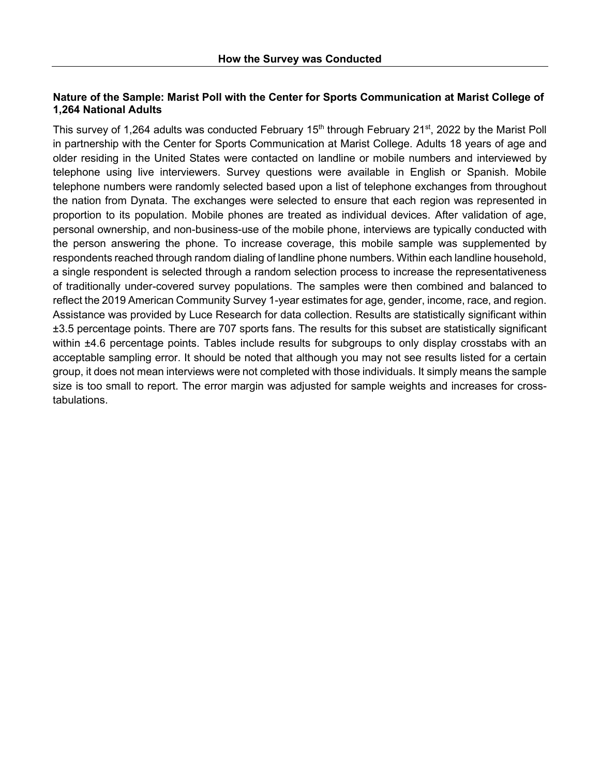# **Nature of the Sample: Marist Poll with the Center for Sports Communication at Marist College of 1,264 National Adults**

This survey of 1,264 adults was conducted February 15<sup>th</sup> through February 21<sup>st</sup>, 2022 by the Marist Poll in partnership with the Center for Sports Communication at Marist College. Adults 18 years of age and older residing in the United States were contacted on landline or mobile numbers and interviewed by telephone using live interviewers. Survey questions were available in English or Spanish. Mobile telephone numbers were randomly selected based upon a list of telephone exchanges from throughout the nation from Dynata. The exchanges were selected to ensure that each region was represented in proportion to its population. Mobile phones are treated as individual devices. After validation of age, personal ownership, and non-business-use of the mobile phone, interviews are typically conducted with the person answering the phone. To increase coverage, this mobile sample was supplemented by respondents reached through random dialing of landline phone numbers. Within each landline household, a single respondent is selected through a random selection process to increase the representativeness of traditionally under-covered survey populations. The samples were then combined and balanced to reflect the 2019 American Community Survey 1-year estimates for age, gender, income, race, and region. Assistance was provided by Luce Research for data collection. Results are statistically significant within ±3.5 percentage points. There are 707 sports fans. The results for this subset are statistically significant within  $\pm 4.6$  percentage points. Tables include results for subgroups to only display crosstabs with an acceptable sampling error. It should be noted that although you may not see results listed for a certain group, it does not mean interviews were not completed with those individuals. It simply means the sample size is too small to report. The error margin was adjusted for sample weights and increases for crosstabulations.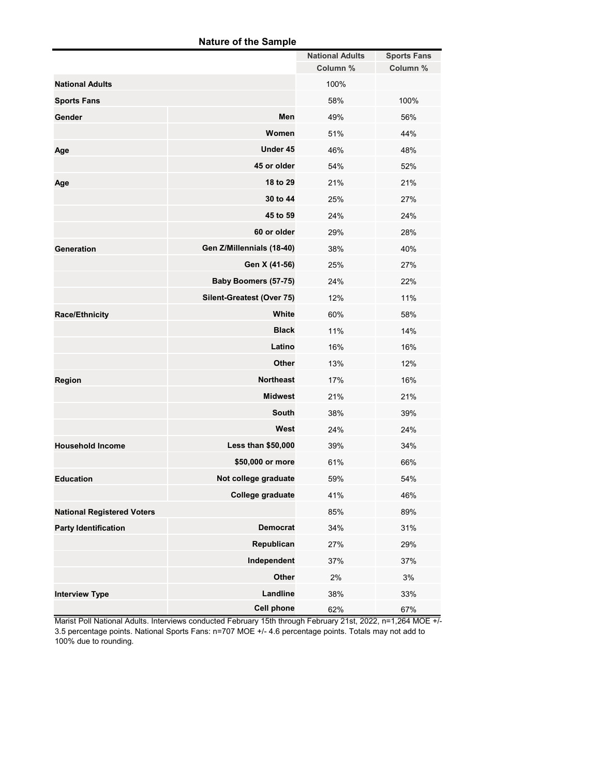### **Nature of the Sample**

|                                   |                             | <b>National Adults</b> | <b>Sports Fans</b> |
|-----------------------------------|-----------------------------|------------------------|--------------------|
|                                   |                             | Column %               | Column %           |
| <b>National Adults</b>            |                             | 100%                   |                    |
| <b>Sports Fans</b>                |                             | 58%                    | 100%               |
| Gender                            | Men                         | 49%                    | 56%                |
|                                   | Women                       | 51%                    | 44%                |
| Age                               | Under 45                    | 46%                    | 48%                |
|                                   | 45 or older                 | 54%                    | 52%                |
| Age                               | 18 to 29                    | 21%                    | 21%                |
|                                   | 30 to 44                    | 25%                    | 27%                |
|                                   | 45 to 59                    | 24%                    | 24%                |
|                                   | 60 or older                 | 29%                    | 28%                |
| <b>Generation</b>                 | Gen Z/Millennials (18-40)   | 38%                    | 40%                |
|                                   | Gen X (41-56)               | 25%                    | 27%                |
|                                   | <b>Baby Boomers (57-75)</b> | 24%                    | 22%                |
|                                   | Silent-Greatest (Over 75)   | 12%                    | 11%                |
| <b>Race/Ethnicity</b>             | White                       | 60%                    | 58%                |
|                                   | <b>Black</b>                | 11%                    | 14%                |
|                                   | Latino                      | 16%                    | 16%                |
|                                   | <b>Other</b>                | 13%                    | 12%                |
| <b>Region</b>                     | <b>Northeast</b>            | 17%                    | 16%                |
|                                   | <b>Midwest</b>              | 21%                    | 21%                |
|                                   | <b>South</b>                | 38%                    | 39%                |
|                                   | West                        | 24%                    | 24%                |
| <b>Household Income</b>           | Less than \$50,000          | 39%                    | 34%                |
|                                   | \$50,000 or more            | 61%                    | 66%                |
| <b>Education</b>                  | Not college graduate        | 59%                    | 54%                |
|                                   | College graduate            | 41%                    | 46%                |
| <b>National Registered Voters</b> |                             | 85%                    | 89%                |
| <b>Party Identification</b>       | <b>Democrat</b>             | 34%                    | 31%                |
|                                   | Republican                  | 27%                    | 29%                |
|                                   | Independent                 | 37%                    | 37%                |
|                                   | Other                       | 2%                     | 3%                 |
| <b>Interview Type</b>             | Landline                    | 38%                    | 33%                |
|                                   | <b>Cell phone</b>           | 62%                    | 67%                |

Marist Poll National Adults. Interviews conducted February 15th through February 21st, 2022, n=1,264 MOE +/- 3.5 percentage points. National Sports Fans: n=707 MOE +/- 4.6 percentage points. Totals may not add to 100% due to rounding.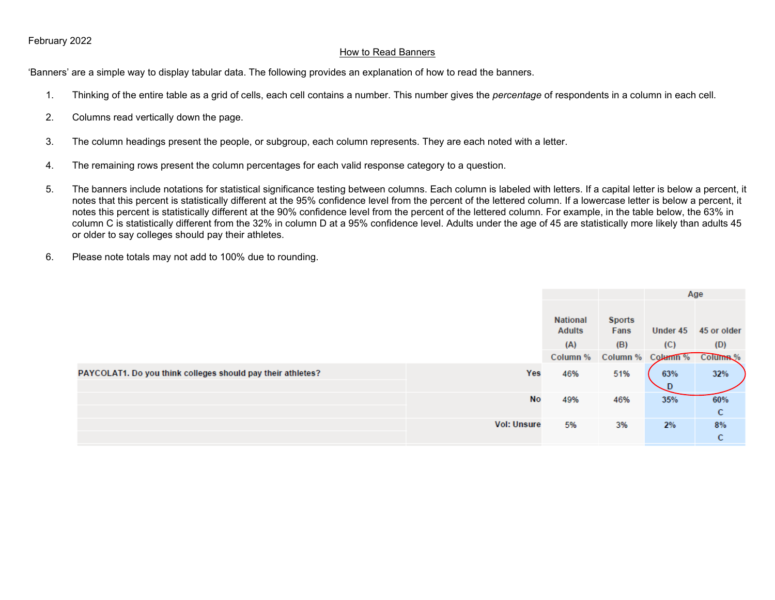### How to Read Banners

'Banners' are a simple way to display tabular data. The following provides an explanation of how to read the banners.

- 1. Thinking of the entire table as a grid of cells, each cell contains a number. This number gives the *percentage* of respondents in a column in each cell.
- 2. Columns read vertically down the page.
- 3. The column headings present the people, or subgroup, each column represents. They are each noted with a letter.
- 4. The remaining rows present the column percentages for each valid response category to a question.
- 5. The banners include notations for statistical significance testing between columns. Each column is labeled with letters. If a capital letter is below a percent, it notes that this percent is statistically different at the 95% confidence level from the percent of the lettered column. If a lowercase letter is below a percent, it notes this percent is statistically different at the 90% confidence level from the percent of the lettered column. For example, in the table below, the 63% in column C is statistically different from the 32% in column D at a 95% confidence level. Adults under the age of 45 are statistically more likely than adults 45 or older to say colleges should pay their athletes.
- 6. Please note totals may not add to 100% due to rounding.

|                                                             |                    |                           |                       | Age                        |                      |
|-------------------------------------------------------------|--------------------|---------------------------|-----------------------|----------------------------|----------------------|
|                                                             |                    | National<br><b>Adults</b> | <b>Sports</b><br>Fans |                            | Under 45 45 or older |
|                                                             |                    | (A)                       | (B)                   | (C)                        | (D)                  |
|                                                             |                    | Column %                  |                       | Column % Column % Column % |                      |
| PAYCOLAT1. Do you think colleges should pay their athletes? | Yes                | 46%                       | 51%                   | 63%                        | 32%                  |
|                                                             |                    |                           |                       |                            |                      |
|                                                             | No                 | 49%                       | 46%                   | 35%                        | 60%                  |
|                                                             |                    |                           |                       |                            | C                    |
|                                                             | <b>Vol: Unsure</b> | 5%                        | 3%                    | 2%                         | 8%                   |
|                                                             |                    |                           |                       |                            | C                    |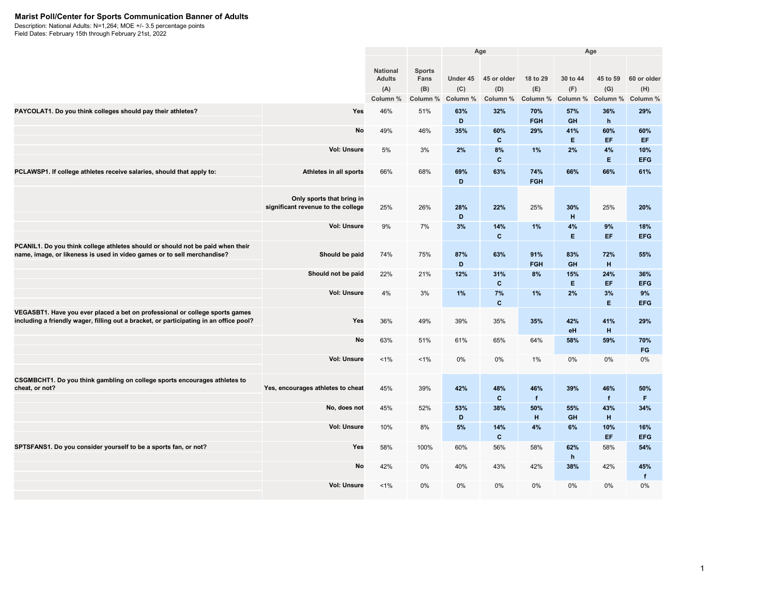#### **Marist Poll/Center for Sports Communication Banner of Adults**

Description: National Adults: N=1,264; MOE +/- 3.5 percentage points

|                                                                                                                                                                        |                                                                 |                                                     |                                          | Age             |                                         |                             |                             | Age                 |                                         |
|------------------------------------------------------------------------------------------------------------------------------------------------------------------------|-----------------------------------------------------------------|-----------------------------------------------------|------------------------------------------|-----------------|-----------------------------------------|-----------------------------|-----------------------------|---------------------|-----------------------------------------|
|                                                                                                                                                                        |                                                                 | <b>National</b><br><b>Adults</b><br>(A)<br>Column % | <b>Sports</b><br>Fans<br>(B)<br>Column % | (C)<br>Column % | Under 45 45 or older<br>(D)<br>Column % | 18 to 29<br>(E)<br>Column % | 30 to 44<br>(F)<br>Column % | 45 to 59<br>(G)     | 60 or older<br>(H)<br>Column % Column % |
| PAYCOLAT1. Do you think colleges should pay their athletes?                                                                                                            | Yes                                                             | 46%                                                 | 51%                                      | 63%<br>D        | 32%                                     | 70%<br><b>FGH</b>           | 57%<br><b>GH</b>            | 36%<br>h            | 29%                                     |
|                                                                                                                                                                        | No                                                              | 49%                                                 | 46%                                      | 35%             | 60%<br>$\mathbf{C}$                     | 29%                         | 41%<br>E.                   | 60%<br>EF.          | 60%<br>EF.                              |
|                                                                                                                                                                        | <b>Vol: Unsure</b>                                              | 5%                                                  | 3%                                       | 2%              | 8%<br>$\mathbf{c}$                      | 1%                          | 2%                          | 4%<br>E.            | 10%<br><b>EFG</b>                       |
| PCLAWSP1. If college athletes receive salaries, should that apply to:                                                                                                  | Athletes in all sports                                          | 66%                                                 | 68%                                      | 69%<br>D        | 63%                                     | 74%<br><b>FGH</b>           | 66%                         | 66%                 | 61%                                     |
|                                                                                                                                                                        | Only sports that bring in<br>significant revenue to the college | 25%                                                 | 26%                                      | 28%<br>D        | 22%                                     | 25%                         | 30%<br>H                    | 25%                 | 20%                                     |
|                                                                                                                                                                        | <b>Vol: Unsure</b>                                              | 9%                                                  | 7%                                       | 3%              | 14%<br>$\mathbf{c}$                     | 1%                          | 4%<br>E                     | 9%<br>EF.           | 18%<br><b>EFG</b>                       |
| PCANIL1. Do you think college athletes should or should not be paid when their<br>name, image, or likeness is used in video games or to sell merchandise?              | Should be paid                                                  | 74%                                                 | 75%                                      | 87%<br>D        | 63%                                     | 91%<br><b>FGH</b>           | 83%<br><b>GH</b>            | 72%<br>H            | 55%                                     |
|                                                                                                                                                                        | Should not be paid                                              | 22%                                                 | 21%                                      | 12%             | 31%<br>$\mathbf{c}$                     | 8%                          | 15%<br>E.                   | 24%<br>EF.          | 36%<br><b>EFG</b>                       |
|                                                                                                                                                                        | <b>Vol: Unsure</b>                                              | 4%                                                  | 3%                                       | 1%              | 7%<br>$\mathbf{c}$                      | 1%                          | 2%                          | 3%<br>E.            | 9%<br><b>EFG</b>                        |
| VEGASBT1. Have you ever placed a bet on professional or college sports games<br>including a friendly wager, filling out a bracket, or participating in an office pool? | Yes                                                             | 36%                                                 | 49%                                      | 39%             | 35%                                     | 35%                         | 42%<br>eH                   | 41%<br>н            | 29%                                     |
|                                                                                                                                                                        | No                                                              | 63%                                                 | 51%                                      | 61%             | 65%                                     | 64%                         | 58%                         | 59%                 | 70%<br><b>FG</b>                        |
|                                                                                                                                                                        | <b>Vol: Unsure</b>                                              | 1%                                                  | $1\%$                                    | 0%              | 0%                                      | 1%                          | 0%                          | 0%                  | 0%                                      |
| CSGMBCHT1. Do you think gambling on college sports encourages athletes to<br>cheat, or not?                                                                            | Yes, encourages athletes to cheat                               | 45%                                                 | 39%                                      | 42%             | 48%<br>$\mathbf{C}$                     | 46%<br>f                    | 39%                         | 46%<br>$\mathbf{f}$ | 50%<br>F.                               |
|                                                                                                                                                                        | No, does not                                                    | 45%                                                 | 52%                                      | 53%<br>D        | 38%                                     | 50%<br>H                    | 55%<br>GH                   | 43%<br>H            | 34%                                     |
|                                                                                                                                                                        | <b>Vol: Unsure</b>                                              | 10%                                                 | 8%                                       | 5%              | 14%<br>$\mathbf{c}$                     | 4%                          | 6%                          | 10%<br>EF.          | 16%<br><b>EFG</b>                       |
| SPTSFANS1. Do you consider yourself to be a sports fan, or not?                                                                                                        | Yes                                                             | 58%                                                 | 100%                                     | 60%             | 56%                                     | 58%                         | 62%<br>h                    | 58%                 | 54%                                     |
|                                                                                                                                                                        | No                                                              | 42%                                                 | 0%                                       | 40%             | 43%                                     | 42%                         | 38%                         | 42%                 | 45%<br>$\mathbf{f}$                     |
|                                                                                                                                                                        | <b>Vol: Unsure</b>                                              | $1\%$                                               | 0%                                       | 0%              | 0%                                      | 0%                          | 0%                          | 0%                  | 0%                                      |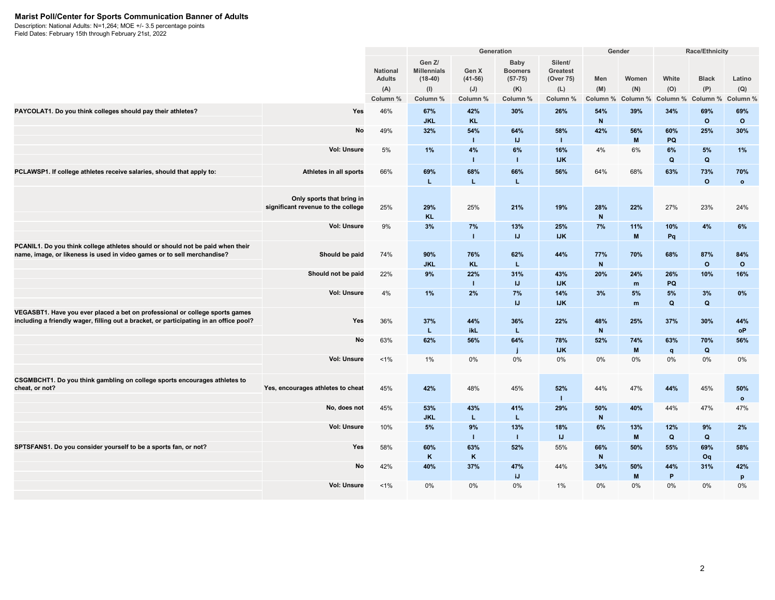#### **Marist Poll/Center for Sports Communication Banner of Adults**

Description: National Adults: N=1,264; MOE +/- 3.5 percentage points

|                                                                                                                                                                        |                                                                 |                                                     |                                                              |                                       | Generation                                             |                                                            | Gender                 |                                                                                              | Race/Ethnicity           |                                 |                           |
|------------------------------------------------------------------------------------------------------------------------------------------------------------------------|-----------------------------------------------------------------|-----------------------------------------------------|--------------------------------------------------------------|---------------------------------------|--------------------------------------------------------|------------------------------------------------------------|------------------------|----------------------------------------------------------------------------------------------|--------------------------|---------------------------------|---------------------------|
|                                                                                                                                                                        |                                                                 | <b>National</b><br><b>Adults</b><br>(A)<br>Column % | Gen Z/<br><b>Millennials</b><br>$(18-40)$<br>(I)<br>Column % | Gen X<br>$(41-56)$<br>(J)<br>Column % | Baby<br><b>Boomers</b><br>$(57-75)$<br>(K)<br>Column % | Silent/<br><b>Greatest</b><br>(Over 75)<br>(L)<br>Column % | Men<br>(M)<br>Column % | Women<br>(N)<br>Column %                                                                     | White<br>(O)<br>Column % | <b>Black</b><br>(P)<br>Column % | Latino<br>(Q)<br>Column % |
| PAYCOLAT1. Do you think colleges should pay their athletes?                                                                                                            | Yes                                                             | 46%                                                 | 67%<br><b>JKL</b>                                            | 42%<br>KL.                            | 30%                                                    | 26%                                                        | 54%<br>$\mathsf{N}$    | 39%                                                                                          | 34%                      | 69%<br>$\circ$                  | 69%<br>$\circ$            |
|                                                                                                                                                                        | No                                                              | 49%                                                 | 32%                                                          | 54%<br>$\mathbf{I}$                   | 64%<br>IJ                                              | 58%<br>л.                                                  | 42%                    | 56%<br>$\mathbf{M}$                                                                          | 60%<br>PQ                | 25%                             | 30%                       |
|                                                                                                                                                                        | <b>Vol: Unsure</b>                                              | 5%                                                  | 1%                                                           | 4%<br>$\mathbf{I}$                    | 6%<br>$\mathbf{I}$                                     | 16%<br><b>IJK</b>                                          | 4%                     | 6%                                                                                           | 6%<br>$\mathbf Q$        | 5%<br>$\mathbf Q$               | 1%                        |
| PCLAWSP1. If college athletes receive salaries, should that apply to:                                                                                                  | Athletes in all sports                                          | 66%                                                 | 69%<br>L                                                     | 68%<br>L                              | 66%<br>L                                               | 56%                                                        | 64%                    | 68%                                                                                          | 63%                      | 73%<br>$\circ$                  | 70%<br>$\mathbf{o}$       |
|                                                                                                                                                                        | Only sports that bring in<br>significant revenue to the college | 25%                                                 | 29%<br><b>KL</b>                                             | 25%                                   | 21%                                                    | 19%                                                        | 28%<br>${\bf N}$       | 22%                                                                                          | 27%                      | 23%                             | 24%                       |
|                                                                                                                                                                        | <b>Vol: Unsure</b>                                              | 9%                                                  | 3%                                                           | 7%<br>$\mathbf{I}$                    | 13%<br>IJ                                              | 25%<br><b>IJK</b>                                          | 7%                     | 11%<br>M                                                                                     | 10%<br>Pq                | 4%                              | 6%                        |
| PCANIL1. Do you think college athletes should or should not be paid when their<br>name, image, or likeness is used in video games or to sell merchandise?              | Should be paid                                                  | 74%                                                 | 90%<br><b>JKL</b>                                            | 76%<br><b>KL</b>                      | 62%<br>L                                               | 44%                                                        | 77%<br>$\mathsf{N}$    | 70%                                                                                          | 68%                      | 87%<br>$\circ$                  | 84%<br>$\circ$            |
|                                                                                                                                                                        | Should not be paid                                              | 22%                                                 | 9%                                                           | 22%<br>$\mathbf{I}$                   | 31%<br>IJ                                              | 43%<br><b>IJK</b>                                          | 20%                    | 24%<br>m                                                                                     | 26%<br>PQ                | 10%                             | 16%                       |
|                                                                                                                                                                        | Vol: Unsure                                                     | 4%                                                  | 1%                                                           | 2%                                    | 7%<br>IJ                                               | 14%<br><b>IJK</b>                                          | 3%                     | 5%<br>m                                                                                      | 5%<br>Q                  | 3%<br>$\mathbf Q$               | 0%                        |
| VEGASBT1. Have you ever placed a bet on professional or college sports games<br>including a friendly wager, filling out a bracket, or participating in an office pool? | Yes                                                             | 36%                                                 | 37%<br>L                                                     | 44%<br>ikL                            | 36%<br>L.                                              | 22%                                                        | 48%<br>$\mathsf N$     | 25%                                                                                          | 37%                      | 30%                             | 44%<br>oP                 |
|                                                                                                                                                                        | No                                                              | 63%                                                 | 62%                                                          | 56%                                   | 64%                                                    | 78%<br><b>IJK</b>                                          | 52%                    | 74%<br>M                                                                                     | 63%<br>$\mathsf{q}$      | 70%<br>$\mathbf Q$              | 56%                       |
|                                                                                                                                                                        | <b>Vol: Unsure</b>                                              | $1\%$                                               | 1%                                                           | 0%                                    | 0%                                                     | 0%                                                         | 0%                     | 0%                                                                                           | 0%                       | 0%                              | 0%                        |
| CSGMBCHT1. Do you think gambling on college sports encourages athletes to<br>cheat, or not?                                                                            | Yes, encourages athletes to cheat                               | 45%                                                 | 42%                                                          | 48%                                   | 45%                                                    | 52%<br>л.                                                  | 44%                    | 47%                                                                                          | 44%                      | 45%                             | 50%<br>$\circ$            |
|                                                                                                                                                                        | No, does not                                                    | 45%                                                 | 53%<br><b>JKL</b>                                            | 43%<br>L.                             | 41%<br>L.                                              | 29%                                                        | 50%<br>$\mathsf{N}$    | 40%                                                                                          | 44%                      | 47%                             | 47%                       |
|                                                                                                                                                                        | <b>Vol: Unsure</b>                                              | 10%                                                 | 5%                                                           | 9%<br>$\mathbf{I}$                    | 13%<br>$\mathbf{I}$                                    | 18%<br>$\mathsf{I}\mathsf{J}$                              | 6%                     | 13%<br>$\mathsf{M}% _{T}=\mathsf{M}_{T}\!\left( a,b\right) ,\ \mathsf{M}_{T}=\mathsf{M}_{T}$ | 12%<br>$\mathbf Q$       | 9%<br>$\mathbf Q$               | 2%                        |
| SPTSFANS1. Do you consider yourself to be a sports fan, or not?                                                                                                        | Yes                                                             | 58%                                                 | 60%<br>K                                                     | 63%<br>K                              | 52%                                                    | 55%                                                        | 66%<br>$\mathbf N$     | 50%                                                                                          | 55%                      | 69%<br>Oq                       | 58%                       |
|                                                                                                                                                                        | No                                                              | 42%                                                 | 40%                                                          | 37%                                   | 47%<br>iJ.                                             | 44%                                                        | 34%                    | 50%<br>M                                                                                     | 44%<br>P                 | 31%                             | 42%<br>p                  |
|                                                                                                                                                                        | <b>Vol: Unsure</b>                                              | $1\%$                                               | 0%                                                           | 0%                                    | 0%                                                     | $1\%$                                                      | $0\%$                  | 0%                                                                                           | 0%                       | 0%                              | $0\%$                     |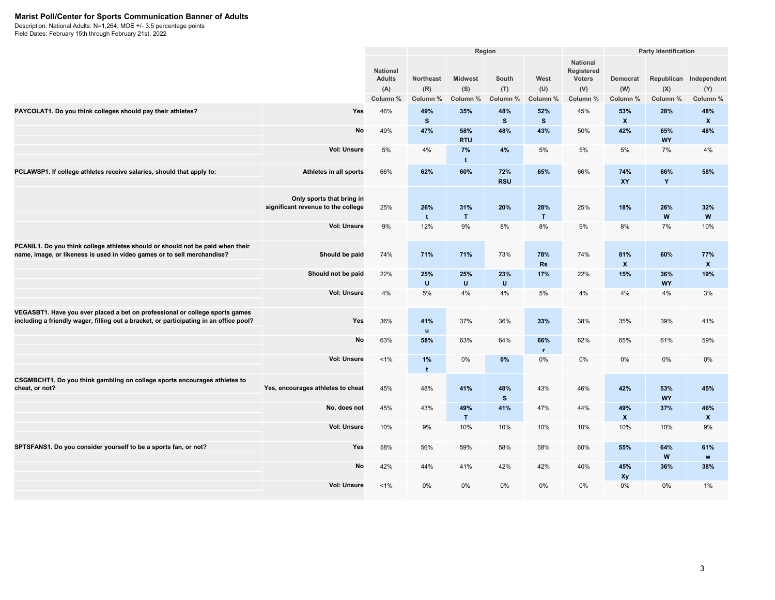#### **Marist Poll/Center for Sports Communication Banner of Adults**

Description: National Adults: N=1,264; MOE +/- 3.5 percentage points

|                                                                                                                                                                        |                                                                 |                                                     |                              |                            | Region                   |                         |                                                                   |                             | <b>Party Identification</b> |                                           |
|------------------------------------------------------------------------------------------------------------------------------------------------------------------------|-----------------------------------------------------------------|-----------------------------------------------------|------------------------------|----------------------------|--------------------------|-------------------------|-------------------------------------------------------------------|-----------------------------|-----------------------------|-------------------------------------------|
|                                                                                                                                                                        |                                                                 | <b>National</b><br><b>Adults</b><br>(A)<br>Column % | Northeast<br>(R)<br>Column % | Midwest<br>(S)<br>Column % | South<br>(T)<br>Column % | West<br>(U)<br>Column % | <b>National</b><br>Registered<br><b>Voters</b><br>(V)<br>Column % | Democrat<br>(W)<br>Column % | (X)<br>Column %             | Republican Independent<br>(Y)<br>Column % |
| PAYCOLAT1. Do you think colleges should pay their athletes?                                                                                                            | Yes                                                             | 46%                                                 | 49%<br>$\mathbf{s}$          | 35%                        | 48%<br>$\mathbf{s}$      | 52%<br>$\mathbf{s}$     | 45%                                                               | 53%<br>$\mathbf{x}$         | 28%                         | 48%<br>$\pmb{\chi}$                       |
|                                                                                                                                                                        | No                                                              | 49%                                                 | 47%                          | 58%<br><b>RTU</b>          | 48%                      | 43%                     | 50%                                                               | 42%                         | 65%<br><b>WY</b>            | 48%                                       |
|                                                                                                                                                                        | <b>Vol: Unsure</b>                                              | 5%                                                  | 4%                           | 7%<br>$\mathbf t$          | 4%                       | 5%                      | 5%                                                                | 5%                          | 7%                          | 4%                                        |
| PCLAWSP1. If college athletes receive salaries, should that apply to:                                                                                                  | Athletes in all sports                                          | 66%                                                 | 62%                          | 60%                        | 72%<br><b>RSU</b>        | 65%                     | 66%                                                               | 74%<br><b>XY</b>            | 66%<br>Y                    | 58%                                       |
|                                                                                                                                                                        | Only sports that bring in<br>significant revenue to the college | 25%                                                 | 26%<br>$\mathbf{t}$          | 31%<br>T                   | 20%                      | 28%<br>T                | 25%                                                               | 18%                         | 26%<br>W                    | 32%<br>W                                  |
|                                                                                                                                                                        | <b>Vol: Unsure</b>                                              | 9%                                                  | 12%                          | 9%                         | 8%                       | 8%                      | 9%                                                                | 8%                          | 7%                          | 10%                                       |
| PCANIL1. Do you think college athletes should or should not be paid when their<br>name, image, or likeness is used in video games or to sell merchandise?              | Should be paid                                                  | 74%                                                 | 71%                          | 71%                        | 73%                      | 78%<br>Rs               | 74%                                                               | 81%<br>$\mathbf{x}$         | 60%                         | 77%<br>$\mathbf{x}$                       |
|                                                                                                                                                                        | Should not be paid                                              | 22%                                                 | 25%<br>$\mathbf{U}$          | 25%<br>$\cup$              | 23%<br>$\cup$            | 17%                     | 22%                                                               | 15%                         | 36%<br><b>WY</b>            | 19%                                       |
|                                                                                                                                                                        | <b>Vol: Unsure</b>                                              | 4%                                                  | 5%                           | 4%                         | 4%                       | 5%                      | 4%                                                                | 4%                          | 4%                          | 3%                                        |
| VEGASBT1. Have you ever placed a bet on professional or college sports games<br>including a friendly wager, filling out a bracket, or participating in an office pool? | Yes                                                             | 36%                                                 | 41%<br>$\mathbf{u}$          | 37%                        | 36%                      | 33%                     | 38%                                                               | 35%                         | 39%                         | 41%                                       |
|                                                                                                                                                                        | No                                                              | 63%                                                 | 58%                          | 63%                        | 64%                      | 66%<br>$\mathbf{r}$     | 62%                                                               | 65%                         | 61%                         | 59%                                       |
|                                                                                                                                                                        | <b>Vol: Unsure</b>                                              | 1%                                                  | 1%<br>$\mathbf{t}$           | $0\%$                      | 0%                       | 0%                      | 0%                                                                | $0\%$                       | 0%                          | $0\%$                                     |
| CSGMBCHT1. Do you think gambling on college sports encourages athletes to<br>cheat, or not?                                                                            | Yes, encourages athletes to cheat                               | 45%                                                 | 48%                          | 41%                        | 48%<br>$\mathbf{s}$      | 43%                     | 46%                                                               | 42%                         | 53%<br><b>WY</b>            | 45%                                       |
|                                                                                                                                                                        | No, does not                                                    | 45%                                                 | 43%                          | 49%<br>T                   | 41%                      | 47%                     | 44%                                                               | 49%<br>$\mathbf{x}$         | 37%                         | 46%<br>$\pmb{\chi}$                       |
|                                                                                                                                                                        | Vol: Unsure                                                     | 10%                                                 | 9%                           | 10%                        | 10%                      | 10%                     | 10%                                                               | 10%                         | 10%                         | 9%                                        |
| SPTSFANS1. Do you consider yourself to be a sports fan, or not?                                                                                                        | Yes                                                             | 58%                                                 | 56%                          | 59%                        | 58%                      | 58%                     | 60%                                                               | 55%                         | 64%<br>W                    | 61%<br>w                                  |
|                                                                                                                                                                        | No                                                              | 42%                                                 | 44%                          | 41%                        | 42%                      | 42%                     | 40%                                                               | 45%<br>Xy                   | 36%                         | 38%                                       |
|                                                                                                                                                                        | <b>Vol: Unsure</b>                                              | 1%                                                  | 0%                           | 0%                         | 0%                       | 0%                      | 0%                                                                | 0%                          | 0%                          | 1%                                        |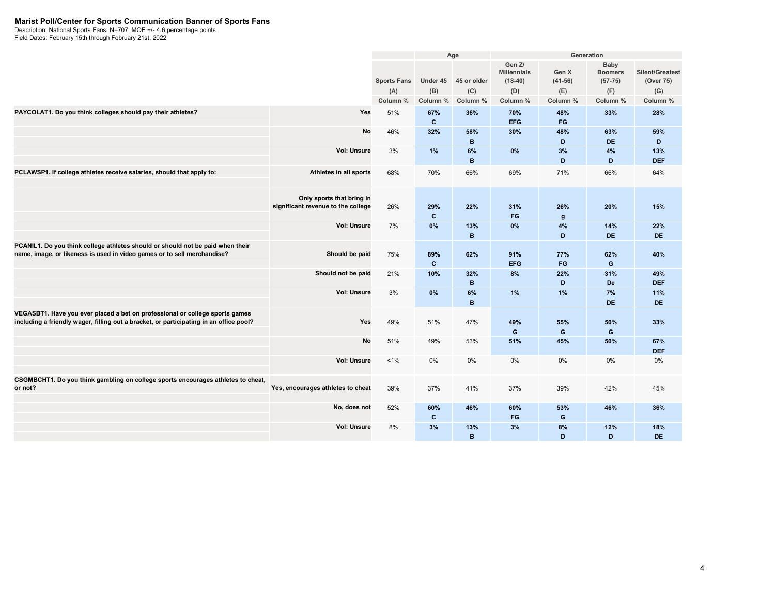#### **Marist Poll/Center for Sports Communication Banner of Sports Fans**

Description: National Sports Fans: N=707; MOE +/- 4.6 percentage points

|                                                                                                                                                                        |                                                                 |                    |                     | Age                 |                                           | Generation          |                                     |                              |
|------------------------------------------------------------------------------------------------------------------------------------------------------------------------|-----------------------------------------------------------------|--------------------|---------------------|---------------------|-------------------------------------------|---------------------|-------------------------------------|------------------------------|
|                                                                                                                                                                        |                                                                 | <b>Sports Fans</b> | Under 45            | 45 or older         | Gen Z/<br><b>Millennials</b><br>$(18-40)$ | Gen X<br>$(41-56)$  | Baby<br><b>Boomers</b><br>$(57-75)$ | Silent/Greatest<br>(Over 75) |
|                                                                                                                                                                        |                                                                 | (A)                | (B)                 | (C)                 | (D)                                       | (E)                 | (F)                                 | (G)                          |
|                                                                                                                                                                        |                                                                 | Column %           | Column %            | Column %            | Column %                                  | Column %            | Column %                            | Column %                     |
| PAYCOLAT1. Do you think colleges should pay their athletes?                                                                                                            | Yes                                                             | 51%                | 67%<br>$\mathbf{c}$ | 36%                 | 70%<br><b>EFG</b>                         | 48%<br>FG           | 33%                                 | 28%                          |
|                                                                                                                                                                        | No                                                              | 46%                | 32%                 | 58%<br>$\mathbf B$  | 30%                                       | 48%<br>D            | 63%<br><b>DE</b>                    | 59%<br>D                     |
|                                                                                                                                                                        | <b>Vol: Unsure</b>                                              | 3%                 | 1%                  | 6%<br>B             | 0%                                        | 3%<br>D             | 4%<br>D                             | 13%<br><b>DEF</b>            |
| PCLAWSP1. If college athletes receive salaries, should that apply to:                                                                                                  | Athletes in all sports                                          | 68%                | 70%                 | 66%                 | 69%                                       | 71%                 | 66%                                 | 64%                          |
|                                                                                                                                                                        | Only sports that bring in<br>significant revenue to the college | 26%                | 29%<br>$\mathbf{c}$ | 22%                 | 31%<br>FG                                 | 26%<br>$\mathbf{g}$ | 20%                                 | 15%                          |
|                                                                                                                                                                        | <b>Vol: Unsure</b>                                              | 7%                 | 0%                  | 13%<br>$\mathbf{B}$ | 0%                                        | 4%<br>D             | 14%<br><b>DE</b>                    | 22%<br><b>DE</b>             |
| PCANIL1. Do you think college athletes should or should not be paid when their<br>name, image, or likeness is used in video games or to sell merchandise?              | Should be paid                                                  | 75%                | 89%<br>$\mathbf{c}$ | 62%                 | 91%<br><b>EFG</b>                         | 77%<br>FG           | 62%<br>G                            | 40%                          |
|                                                                                                                                                                        | Should not be paid                                              | 21%                | 10%                 | 32%<br>B            | 8%                                        | 22%<br>D            | 31%<br><b>De</b>                    | 49%<br><b>DEF</b>            |
|                                                                                                                                                                        | <b>Vol: Unsure</b>                                              | 3%                 | 0%                  | 6%<br>B             | 1%                                        | 1%                  | 7%<br><b>DE</b>                     | 11%<br><b>DE</b>             |
| VEGASBT1. Have you ever placed a bet on professional or college sports games<br>including a friendly wager, filling out a bracket, or participating in an office pool? | Yes                                                             | 49%                | 51%                 | 47%                 | 49%<br>G                                  | 55%<br>G            | 50%<br>G                            | 33%                          |
|                                                                                                                                                                        | <b>No</b>                                                       | 51%                | 49%                 | 53%                 | 51%                                       | 45%                 | 50%                                 | 67%<br><b>DEF</b>            |
|                                                                                                                                                                        | <b>Vol: Unsure</b>                                              | $1\%$              | 0%                  | 0%                  | $0\%$                                     | 0%                  | 0%                                  | 0%                           |
| CSGMBCHT1. Do you think gambling on college sports encourages athletes to cheat,<br>or not?                                                                            | Yes, encourages athletes to cheat                               | 39%                | 37%                 | 41%                 | 37%                                       | 39%                 | 42%                                 | 45%                          |
|                                                                                                                                                                        | No, does not                                                    | 52%                | 60%<br>C            | 46%                 | 60%<br>FG                                 | 53%<br>G            | 46%                                 | 36%                          |
|                                                                                                                                                                        | Vol: Unsure                                                     | 8%                 | 3%                  | 13%<br>B            | 3%                                        | 8%<br>D             | 12%<br>D                            | 18%<br><b>DE</b>             |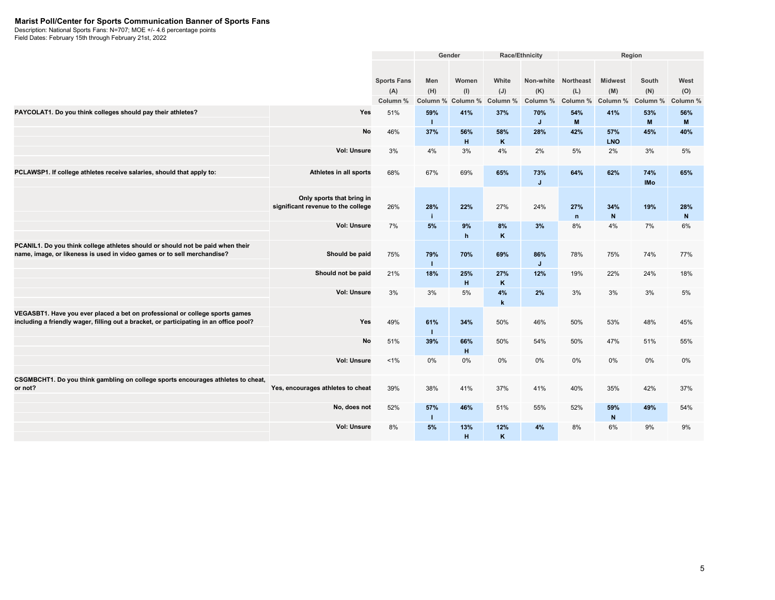#### **Marist Poll/Center for Sports Communication Banner of Sports Fans**

Description: National Sports Fans: N=707; MOE +/- 4.6 percentage points

|                                                                                                                                                           |                                    |                    | Gender<br>Race/Ethnicity |          |             | Region   |                     |                |            |              |
|-----------------------------------------------------------------------------------------------------------------------------------------------------------|------------------------------------|--------------------|--------------------------|----------|-------------|----------|---------------------|----------------|------------|--------------|
|                                                                                                                                                           |                                    |                    |                          |          |             |          |                     |                |            |              |
|                                                                                                                                                           |                                    | <b>Sports Fans</b> | Men                      | Women    | White       |          | Non-white Northeast | <b>Midwest</b> | South      | West         |
|                                                                                                                                                           |                                    | (A)                | (H)                      | (I)      | (J)         | (K)      | (L)                 | (M)            | (N)        | (O)          |
|                                                                                                                                                           |                                    | Column %           | Column %                 | Column % | Column %    | Column % | Column %            | Column %       | Column %   | Column %     |
| PAYCOLAT1. Do you think colleges should pay their athletes?                                                                                               | Yes                                | 51%                | 59%                      | 41%      | 37%         | 70%      | 54%                 | 41%            | 53%        | 56%          |
|                                                                                                                                                           |                                    |                    | т                        |          |             | J        | M                   |                | M          | M            |
|                                                                                                                                                           | No                                 | 46%                | 37%                      | 56%      | 58%         | 28%      | 42%                 | 57%            | 45%        | 40%          |
|                                                                                                                                                           |                                    |                    |                          | H        | K           |          |                     | <b>LNO</b>     |            |              |
|                                                                                                                                                           | <b>Vol: Unsure</b>                 | 3%                 | 4%                       | 3%       | 4%          | 2%       | 5%                  | 2%             | 3%         | 5%           |
|                                                                                                                                                           |                                    |                    |                          |          |             |          |                     |                |            |              |
| PCLAWSP1. If college athletes receive salaries, should that apply to:                                                                                     | Athletes in all sports             | 68%                | 67%                      | 69%      | 65%         | 73%      | 64%                 | 62%            | 74%        | 65%          |
|                                                                                                                                                           |                                    |                    |                          |          |             | J        |                     |                | <b>IMo</b> |              |
|                                                                                                                                                           | Only sports that bring in          |                    |                          |          |             |          |                     |                |            |              |
|                                                                                                                                                           | significant revenue to the college | 26%                | 28%                      | 22%      | 27%         | 24%      | 27%                 | 34%            | 19%        | 28%          |
|                                                                                                                                                           |                                    |                    | j.                       |          |             |          | $\mathsf{n}$        | $\mathsf{N}$   |            | $\mathsf{N}$ |
|                                                                                                                                                           | Vol: Unsure                        | 7%                 | 5%                       | 9%       | 8%          | 3%       | 8%                  | 4%             | 7%         | 6%           |
|                                                                                                                                                           |                                    |                    |                          | h        | K           |          |                     |                |            |              |
| PCANIL1. Do you think college athletes should or should not be paid when their<br>name, image, or likeness is used in video games or to sell merchandise? | Should be paid                     | 75%                | 79%                      | 70%      | 69%         | 86%      | 78%                 | 75%            | 74%        | 77%          |
|                                                                                                                                                           |                                    |                    | т                        |          |             | J        |                     |                |            |              |
|                                                                                                                                                           | Should not be paid                 | 21%                | 18%                      | 25%      | 27%         | 12%      | 19%                 | 22%            | 24%        | 18%          |
|                                                                                                                                                           |                                    |                    |                          | H        | K           |          |                     |                |            |              |
|                                                                                                                                                           | Vol: Unsure                        | 3%                 | 3%                       | 5%       | 4%          | 2%       | 3%                  | 3%             | 3%         | 5%           |
|                                                                                                                                                           |                                    |                    |                          |          | $\mathbf k$ |          |                     |                |            |              |
| VEGASBT1. Have you ever placed a bet on professional or college sports games                                                                              |                                    |                    |                          |          |             |          |                     |                |            |              |
| including a friendly wager, filling out a bracket, or participating in an office pool?                                                                    | Yes                                | 49%                | 61%<br>т                 | 34%      | 50%         | 46%      | 50%                 | 53%            | 48%        | 45%          |
|                                                                                                                                                           | No                                 | 51%                | 39%                      | 66%      | 50%         | 54%      | 50%                 | 47%            | 51%        | 55%          |
|                                                                                                                                                           |                                    |                    |                          | H        |             |          |                     |                |            |              |
|                                                                                                                                                           | Vol: Unsure                        | $1\%$              | 0%                       | 0%       | 0%          | 0%       | 0%                  | $0\%$          | 0%         | 0%           |
|                                                                                                                                                           |                                    |                    |                          |          |             |          |                     |                |            |              |
| CSGMBCHT1. Do you think gambling on college sports encourages athletes to cheat,                                                                          |                                    |                    |                          |          |             |          |                     |                |            |              |
| or not?                                                                                                                                                   | Yes, encourages athletes to cheat  | 39%                | 38%                      | 41%      | 37%         | 41%      | 40%                 | 35%            | 42%        | 37%          |
|                                                                                                                                                           | No, does not                       | 52%                | 57%                      | 46%      | 51%         | 55%      | 52%                 | 59%            | 49%        | 54%          |
|                                                                                                                                                           |                                    |                    | т                        |          |             |          |                     | $\mathsf{N}$   |            |              |
|                                                                                                                                                           | <b>Vol: Unsure</b>                 | 8%                 | 5%                       | 13%      | 12%         | 4%       | 8%                  | 6%             | 9%         | 9%           |
|                                                                                                                                                           |                                    |                    |                          | H        | K           |          |                     |                |            |              |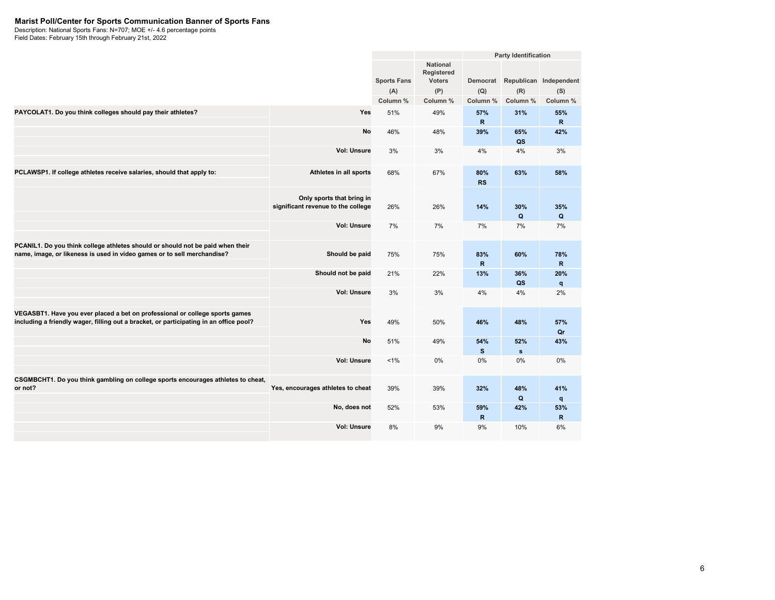#### **Marist Poll/Center for Sports Communication Banner of Sports Fans**

Description: National Sports Fans: N=707; MOE +/- 4.6 percentage points

|                                                                                                                                                                        |                                                                 |                           |                                                       |                     | <b>Party Identification</b> |                               |
|------------------------------------------------------------------------------------------------------------------------------------------------------------------------|-----------------------------------------------------------------|---------------------------|-------------------------------------------------------|---------------------|-----------------------------|-------------------------------|
|                                                                                                                                                                        |                                                                 | <b>Sports Fans</b><br>(A) | <b>National</b><br>Registered<br><b>Voters</b><br>(P) | Democrat<br>(Q)     | (R)                         | Republican Independent<br>(S) |
|                                                                                                                                                                        |                                                                 | Column %                  | Column %                                              | Column %            | Column %                    | Column %                      |
| PAYCOLAT1. Do you think colleges should pay their athletes?                                                                                                            | Yes                                                             | 51%                       | 49%                                                   | 57%<br>$\mathsf{R}$ | 31%                         | 55%<br>$\mathbf R$            |
|                                                                                                                                                                        | No                                                              | 46%                       | 48%                                                   | 39%                 | 65%<br>QS                   | 42%                           |
|                                                                                                                                                                        | <b>Vol: Unsure</b>                                              | 3%                        | 3%                                                    | 4%                  | 4%                          | 3%                            |
| PCLAWSP1. If college athletes receive salaries, should that apply to:                                                                                                  | Athletes in all sports                                          | 68%                       | 67%                                                   | 80%<br><b>RS</b>    | 63%                         | 58%                           |
|                                                                                                                                                                        | Only sports that bring in<br>significant revenue to the college | 26%                       | 26%                                                   | 14%                 | 30%<br>Q                    | 35%<br>Q                      |
|                                                                                                                                                                        | <b>Vol: Unsure</b>                                              | 7%                        | 7%                                                    | 7%                  | 7%                          | 7%                            |
| PCANIL1. Do you think college athletes should or should not be paid when their<br>name, image, or likeness is used in video games or to sell merchandise?              | Should be paid                                                  | 75%                       | 75%                                                   | 83%<br>R.           | 60%                         | 78%<br>$\mathbf R$            |
|                                                                                                                                                                        | Should not be paid                                              | 21%                       | 22%                                                   | 13%                 | 36%<br>QS                   | 20%<br>q                      |
|                                                                                                                                                                        | <b>Vol: Unsure</b>                                              | 3%                        | 3%                                                    | 4%                  | 4%                          | 2%                            |
| VEGASBT1. Have you ever placed a bet on professional or college sports games<br>including a friendly wager, filling out a bracket, or participating in an office pool? | Yes                                                             | 49%                       | 50%                                                   | 46%                 | 48%                         | 57%<br>Qr                     |
|                                                                                                                                                                        | No                                                              | 51%                       | 49%                                                   | 54%<br>s            | 52%<br>$\mathbf{s}$         | 43%                           |
|                                                                                                                                                                        | <b>Vol: Unsure</b>                                              | 1%                        | 0%                                                    | 0%                  | 0%                          | 0%                            |
| CSGMBCHT1. Do you think gambling on college sports encourages athletes to cheat,<br>or not?                                                                            | Yes, encourages athletes to cheat                               | 39%                       | 39%                                                   | 32%                 | 48%<br>Q                    | 41%<br>q                      |
|                                                                                                                                                                        | No, does not                                                    | 52%                       | 53%                                                   | 59%<br>R            | 42%                         | 53%<br>$\mathbf R$            |
|                                                                                                                                                                        | <b>Vol: Unsure</b>                                              | 8%                        | 9%                                                    | 9%                  | 10%                         | 6%                            |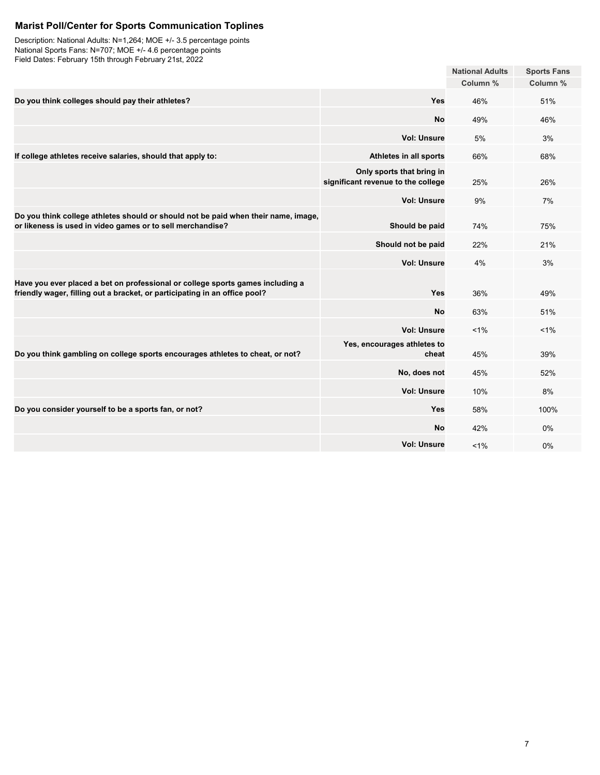# **Marist Poll/Center for Sports Communication Toplines**

Description: National Adults: N=1,264; MOE +/- 3.5 percentage points National Sports Fans: N=707; MOE +/- 4.6 percentage points Field Dates: February 15th through February 21st, 2022

|                                                                                                                                                              |                                                                 | <b>National Adults</b> | <b>Sports Fans</b> |
|--------------------------------------------------------------------------------------------------------------------------------------------------------------|-----------------------------------------------------------------|------------------------|--------------------|
|                                                                                                                                                              |                                                                 | Column %               | Column %           |
| Do you think colleges should pay their athletes?                                                                                                             | Yes                                                             | 46%                    | 51%                |
|                                                                                                                                                              | <b>No</b>                                                       | 49%                    | 46%                |
|                                                                                                                                                              | <b>Vol: Unsure</b>                                              | 5%                     | 3%                 |
| If college athletes receive salaries, should that apply to:                                                                                                  | Athletes in all sports                                          | 66%                    | 68%                |
|                                                                                                                                                              | Only sports that bring in<br>significant revenue to the college | 25%                    | 26%                |
|                                                                                                                                                              | <b>Vol: Unsure</b>                                              | 9%                     | 7%                 |
| Do you think college athletes should or should not be paid when their name, image,<br>or likeness is used in video games or to sell merchandise?             | Should be paid                                                  | 74%                    | 75%                |
|                                                                                                                                                              | Should not be paid                                              | 22%                    | 21%                |
|                                                                                                                                                              | <b>Vol: Unsure</b>                                              | 4%                     | 3%                 |
| Have you ever placed a bet on professional or college sports games including a<br>friendly wager, filling out a bracket, or participating in an office pool? | Yes                                                             | 36%                    | 49%                |
|                                                                                                                                                              | <b>No</b>                                                       | 63%                    | 51%                |
|                                                                                                                                                              | <b>Vol: Unsure</b>                                              | $1\%$                  | 1%                 |
| Do you think gambling on college sports encourages athletes to cheat, or not?                                                                                | Yes, encourages athletes to<br>cheat                            | 45%                    | 39%                |
|                                                                                                                                                              | No, does not                                                    | 45%                    | 52%                |
|                                                                                                                                                              | <b>Vol: Unsure</b>                                              | 10%                    | 8%                 |
| Do you consider yourself to be a sports fan, or not?                                                                                                         | Yes                                                             | 58%                    | 100%               |
|                                                                                                                                                              | <b>No</b>                                                       | 42%                    | 0%                 |
|                                                                                                                                                              | <b>Vol: Unsure</b>                                              | $1\%$                  | 0%                 |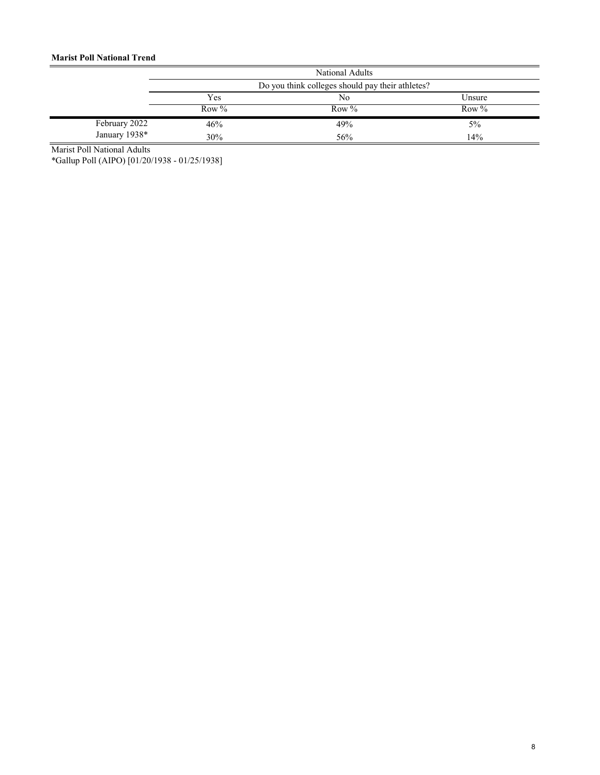### **Marist Poll National Trend**

|               | National Adults |                                                  |          |  |  |  |  |  |
|---------------|-----------------|--------------------------------------------------|----------|--|--|--|--|--|
|               |                 | Do you think colleges should pay their athletes? |          |  |  |  |  |  |
|               | Yes             | No                                               | Unsure   |  |  |  |  |  |
|               | Row %           | Row $\%$                                         | Row $\%$ |  |  |  |  |  |
| February 2022 | 46%             | 49%                                              | $5\%$    |  |  |  |  |  |
| January 1938* | 30%             | 56%                                              | 14%      |  |  |  |  |  |

Marist Poll National Adults

\*Gallup Poll (AIPO) [01/20/1938 - 01/25/1938]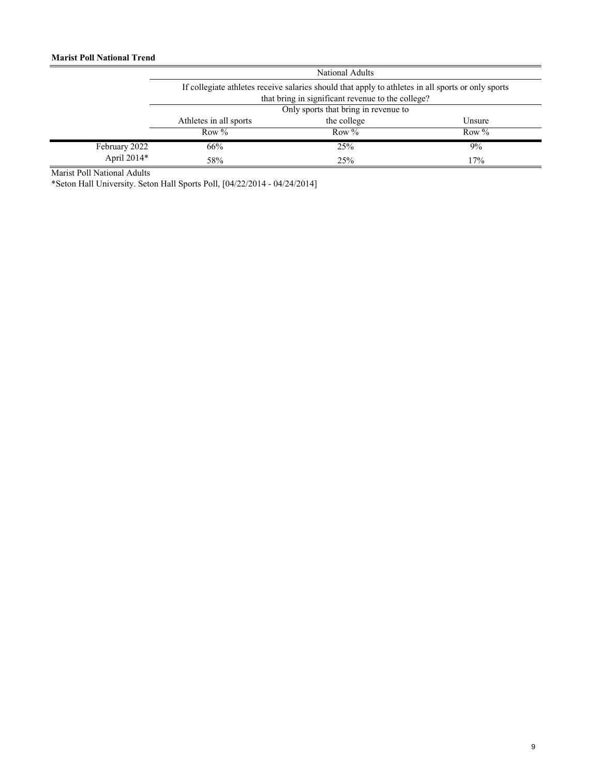|               | <b>National Adults</b>                                                                             |             |         |  |  |  |  |  |
|---------------|----------------------------------------------------------------------------------------------------|-------------|---------|--|--|--|--|--|
|               | If collegiate athletes receive salaries should that apply to athletes in all sports or only sports |             |         |  |  |  |  |  |
|               | that bring in significant revenue to the college?                                                  |             |         |  |  |  |  |  |
|               | Only sports that bring in revenue to                                                               |             |         |  |  |  |  |  |
|               | Athletes in all sports                                                                             | the college | Unsure  |  |  |  |  |  |
|               | Row $\%$                                                                                           | Row $\%$    | Row $%$ |  |  |  |  |  |
| February 2022 | 66%                                                                                                | 25%         | 9%      |  |  |  |  |  |
| April 2014*   | 58%                                                                                                | 25%         | 17%     |  |  |  |  |  |

Marist Poll National Adults

\*Seton Hall University. Seton Hall Sports Poll, [04/22/2014 - 04/24/2014]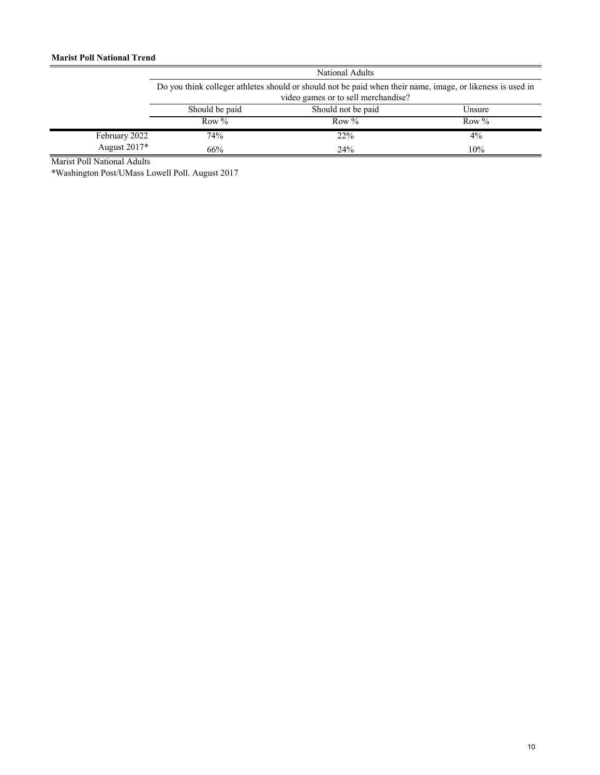|               | National Adults |                                                                                                                                                   |        |  |  |  |  |  |
|---------------|-----------------|---------------------------------------------------------------------------------------------------------------------------------------------------|--------|--|--|--|--|--|
|               |                 | Do you think colleger athletes should or should not be paid when their name, image, or likeness is used in<br>video games or to sell merchandise? |        |  |  |  |  |  |
|               | Should be paid  | Should not be paid                                                                                                                                | Unsure |  |  |  |  |  |
|               | Row $\%$        | Row $\%$                                                                                                                                          | Row %  |  |  |  |  |  |
| February 2022 | 74%             | 22%                                                                                                                                               | $4\%$  |  |  |  |  |  |
| August 2017*  | 66%             | 24%                                                                                                                                               | 10%    |  |  |  |  |  |

Marist Poll National Adults

\*Washington Post/UMass Lowell Poll. August 2017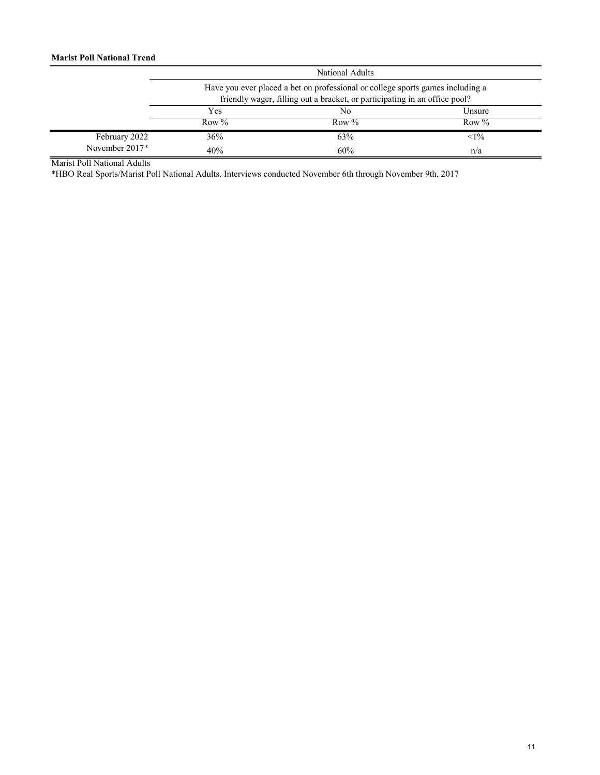### **Marist Poll National Trend**

|                | National Adults<br>Have you ever placed a bet on professional or college sports games including a<br>friendly wager, filling out a bracket, or participating in an office pool? |          |          |
|----------------|---------------------------------------------------------------------------------------------------------------------------------------------------------------------------------|----------|----------|
|                |                                                                                                                                                                                 |          |          |
|                | Yes                                                                                                                                                                             | No       | Unsure   |
|                | Row $\%$                                                                                                                                                                        | Row $\%$ | Row $\%$ |
| February 2022  | 36%                                                                                                                                                                             | 63%      | $1\%$    |
| November 2017* | 40%                                                                                                                                                                             | 60%      | n/a      |

Marist Poll National Adults

\*HBO Real Sports/Marist Poll National Adults. Interviews conducted November 6th through November 9th, 2017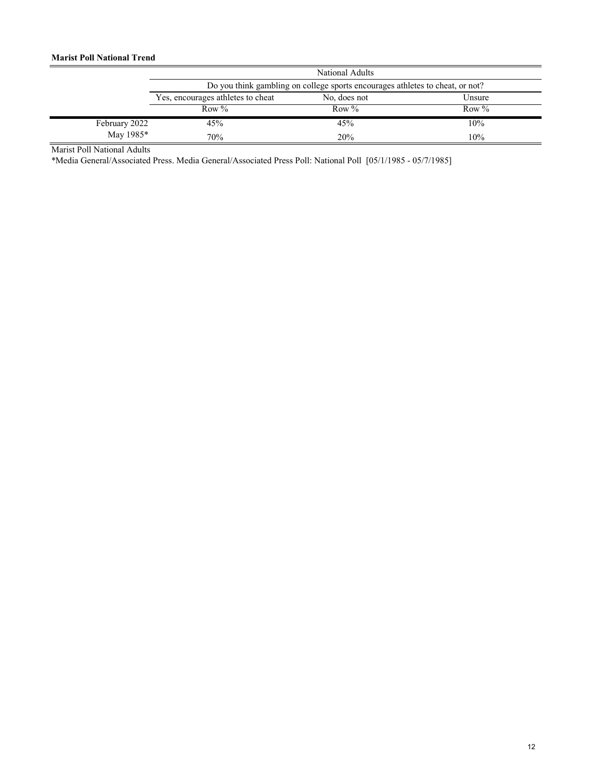### **Marist Poll National Trend**

|               | National Adults<br>Do you think gambling on college sports encourages athletes to cheat, or not? |              |          |
|---------------|--------------------------------------------------------------------------------------------------|--------------|----------|
|               |                                                                                                  |              |          |
|               | Yes, encourages athletes to cheat                                                                | No, does not | Unsure   |
|               | Row $\%$                                                                                         | Row $\%$     | Row $\%$ |
| February 2022 | 45%                                                                                              | 45%          | 10%      |
| May 1985*     | 70%                                                                                              | 20%          | 10%      |

Marist Poll National Adults

\*Media General/Associated Press. Media General/Associated Press Poll: National Poll [05/1/1985 - 05/7/1985]